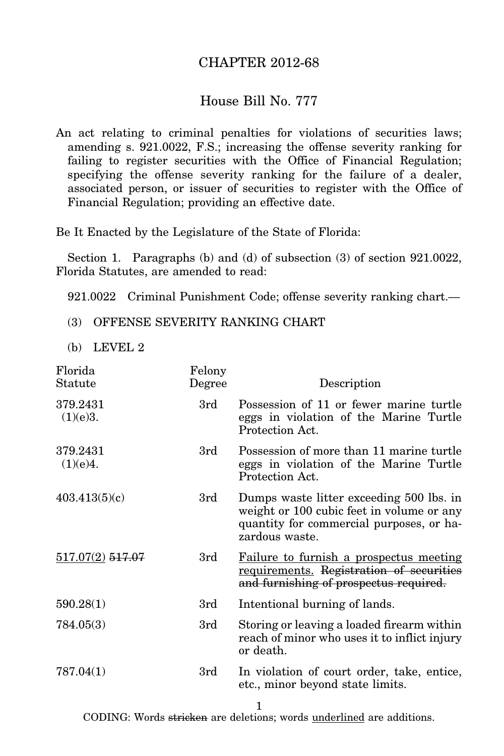## CHAPTER 2012-68

## House Bill No. 777

An act relating to criminal penalties for violations of securities laws; amending s. 921.0022, F.S.; increasing the offense severity ranking for failing to register securities with the Office of Financial Regulation; specifying the offense severity ranking for the failure of a dealer, associated person, or issuer of securities to register with the Office of Financial Regulation; providing an effective date.

Be It Enacted by the Legislature of the State of Florida:

Section 1. Paragraphs (b) and (d) of subsection (3) of section 921.0022, Florida Statutes, are amended to read:

921.0022 Criminal Punishment Code; offense severity ranking chart.—

- (3) OFFENSE SEVERITY RANKING CHART
- (b) LEVEL 2

| Florida<br>Statute   | Felony<br>Degree | Description                                                                                                                                         |
|----------------------|------------------|-----------------------------------------------------------------------------------------------------------------------------------------------------|
| 379.2431<br>(1)(e)3. | 3rd              | Possession of 11 or fewer marine turtle<br>eggs in violation of the Marine Turtle<br>Protection Act.                                                |
| 379.2431<br>(1)(e)4. | 3rd              | Possession of more than 11 marine turtle<br>eggs in violation of the Marine Turtle<br>Protection Act.                                               |
| 403.413(5)(c)        | 3rd              | Dumps waste litter exceeding 500 lbs. in<br>weight or 100 cubic feet in volume or any<br>quantity for commercial purposes, or ha-<br>zardous waste. |
| 517.07(2) 517.07     | 3rd              | Failure to furnish a prospectus meeting<br>requirements. Registration of securities<br>and furnishing of prospectus required.                       |
| 590.28(1)            | 3rd              | Intentional burning of lands.                                                                                                                       |
| 784.05(3)            | 3rd              | Storing or leaving a loaded firearm within<br>reach of minor who uses it to inflict injury<br>or death.                                             |
| 787.04(1)            | 3rd              | In violation of court order, take, entice,<br>etc., minor beyond state limits.                                                                      |

1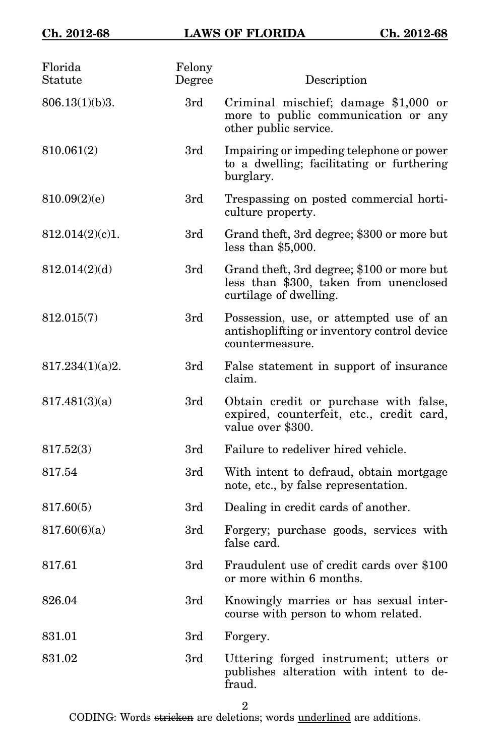| Florida<br>Statute | Felony<br>Degree | Description                                                                                                    |
|--------------------|------------------|----------------------------------------------------------------------------------------------------------------|
| 806.13(1)(b)3.     | 3rd              | Criminal mischief; damage \$1,000 or<br>more to public communication or any<br>other public service.           |
| 810.061(2)         | 3rd              | Impairing or impeding telephone or power<br>to a dwelling; facilitating or furthering<br>burglary.             |
| 810.09(2)(e)       | 3rd              | Trespassing on posted commercial horti-<br>culture property.                                                   |
| 812.014(2)(c)1.    | 3rd              | Grand theft, 3rd degree; \$300 or more but<br>less than $$5,000$ .                                             |
| 812.014(2)(d)      | 3rd              | Grand theft, 3rd degree; \$100 or more but<br>less than \$300, taken from unenclosed<br>curtilage of dwelling. |
| 812.015(7)         | 3rd              | Possession, use, or attempted use of an<br>antishoplifting or inventory control device<br>countermeasure.      |
| 817.234(1)(a)2.    | 3rd              | False statement in support of insurance<br>claim.                                                              |
| 817.481(3)(a)      | 3rd              | Obtain credit or purchase with false,<br>expired, counterfeit, etc., credit card,<br>value over \$300.         |
| 817.52(3)          | 3rd              | Failure to redeliver hired vehicle.                                                                            |
| 817.54             | 3rd              | With intent to defraud, obtain mortgage<br>note, etc., by false representation.                                |
| 817.60(5)          | 3rd              | Dealing in credit cards of another.                                                                            |
| 817.60(6)(a)       | 3rd              | Forgery; purchase goods, services with<br>false card.                                                          |
| 817.61             | 3rd              | Fraudulent use of credit cards over \$100<br>or more within 6 months.                                          |
| 826.04             | 3rd              | Knowingly marries or has sexual inter-<br>course with person to whom related.                                  |
| 831.01             | 3rd              | Forgery.                                                                                                       |
| 831.02             | 3rd              | Uttering forged instrument; utters or<br>publishes alteration with intent to de-<br>fraud.                     |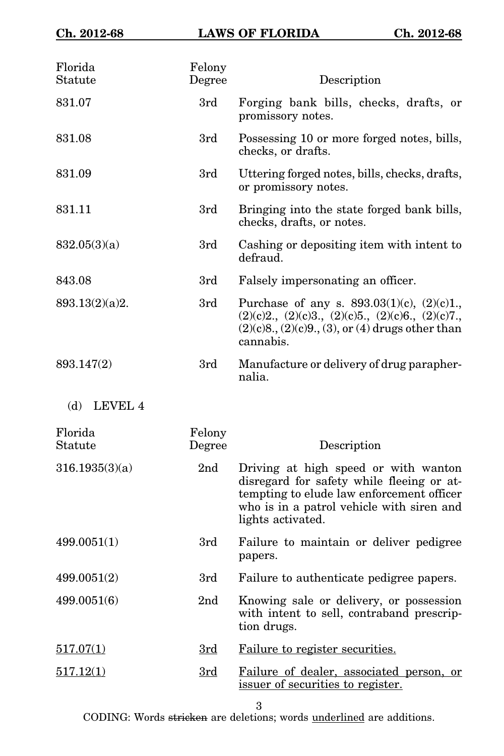| Florida<br>Statute | Felony<br>Degree | Description                                                                                                                                                                                      |
|--------------------|------------------|--------------------------------------------------------------------------------------------------------------------------------------------------------------------------------------------------|
| 831.07             | 3rd              | Forging bank bills, checks, drafts, or<br>promissory notes.                                                                                                                                      |
| 831.08             | 3rd              | Possessing 10 or more forged notes, bills,<br>checks, or drafts.                                                                                                                                 |
| 831.09             | 3rd              | Uttering forged notes, bills, checks, drafts,<br>or promissory notes.                                                                                                                            |
| 831.11             | 3rd              | Bringing into the state forged bank bills,<br>checks, drafts, or notes.                                                                                                                          |
| 832.05(3)(a)       | 3rd              | Cashing or depositing item with intent to<br>defraud.                                                                                                                                            |
| 843.08             | 3rd              | Falsely impersonating an officer.                                                                                                                                                                |
| 893.13(2)(a)2.     | 3rd              | Purchase of any s. $893.03(1)(c)$ , $(2)(c)1$ .<br>$(2)(c)2, (2)(c)3, (2)(c)5, (2)(c)6, (2)(c)7,$<br>$(2)(c)8$ , $(2)(c)9$ , $(3)$ , or $(4)$ drugs other than<br>cannabis.                      |
| 893.147(2)         | 3rd              | Manufacture or delivery of drug parapher-<br>nalia.                                                                                                                                              |
| (d)<br>LEVEL 4     |                  |                                                                                                                                                                                                  |
| Florida<br>Statute | Felony<br>Degree | Description                                                                                                                                                                                      |
| 316.1935(3)(a)     | 2 <sub>nd</sub>  | Driving at high speed or with wanton<br>disregard for safety while fleeing or at-<br>tempting to elude law enforcement officer<br>who is in a patrol vehicle with siren and<br>lights activated. |
| 499.0051(1)        | 3rd              | Failure to maintain or deliver pedigree<br>papers.                                                                                                                                               |
| 499.0051(2)        | 3rd              | Failure to authenticate pedigree papers.                                                                                                                                                         |
| 499.0051(6)        | 2 <sub>nd</sub>  | Knowing sale or delivery, or possession<br>with intent to sell, contraband prescrip-<br>tion drugs.                                                                                              |
| 517.07(1)          | 3rd              | Failure to register securities.                                                                                                                                                                  |
| 517.12(1)          | 3rd              | Failure of dealer, associated person, or<br>issuer of securities to register.                                                                                                                    |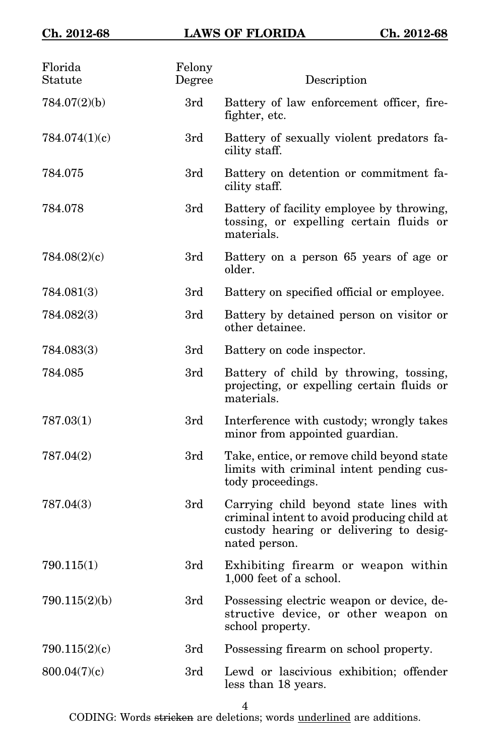| Florida<br>Statute | Felony<br>Degree | Description                                                                                                                                       |
|--------------------|------------------|---------------------------------------------------------------------------------------------------------------------------------------------------|
| 784.07(2)(b)       | 3rd              | Battery of law enforcement officer, fire-<br>fighter, etc.                                                                                        |
| 784.074(1)(c)      | 3rd              | Battery of sexually violent predators fa-<br>cility staff.                                                                                        |
| 784.075            | 3rd              | Battery on detention or commitment fa-<br>cility staff.                                                                                           |
| 784.078            | 3rd              | Battery of facility employee by throwing,<br>tossing, or expelling certain fluids or<br>materials.                                                |
| 784.08(2)(c)       | 3rd              | Battery on a person 65 years of age or<br>older.                                                                                                  |
| 784.081(3)         | 3rd              | Battery on specified official or employee.                                                                                                        |
| 784.082(3)         | 3rd              | Battery by detained person on visitor or<br>other detainee.                                                                                       |
| 784.083(3)         | 3rd              | Battery on code inspector.                                                                                                                        |
| 784.085            | 3rd              | Battery of child by throwing, tossing,<br>projecting, or expelling certain fluids or<br>materials.                                                |
| 787.03(1)          | 3rd              | Interference with custody; wrongly takes<br>minor from appointed guardian.                                                                        |
| 787.04(2)          | 3rd              | Take, entice, or remove child beyond state<br>limits with criminal intent pending cus-<br>tody proceedings.                                       |
| 787.04(3)          | 3rd              | Carrying child beyond state lines with<br>criminal intent to avoid producing child at<br>custody hearing or delivering to desig-<br>nated person. |
| 790.115(1)         | 3rd              | Exhibiting firearm or weapon within<br>1,000 feet of a school.                                                                                    |
| 790.115(2)(b)      | 3rd              | Possessing electric weapon or device, de-<br>structive device, or other weapon on<br>school property.                                             |
| 790.115(2)(c)      | 3rd              | Possessing firearm on school property.                                                                                                            |
| 800.04(7)(c)       | 3rd              | Lewd or lascivious exhibition; offender<br>less than 18 years.                                                                                    |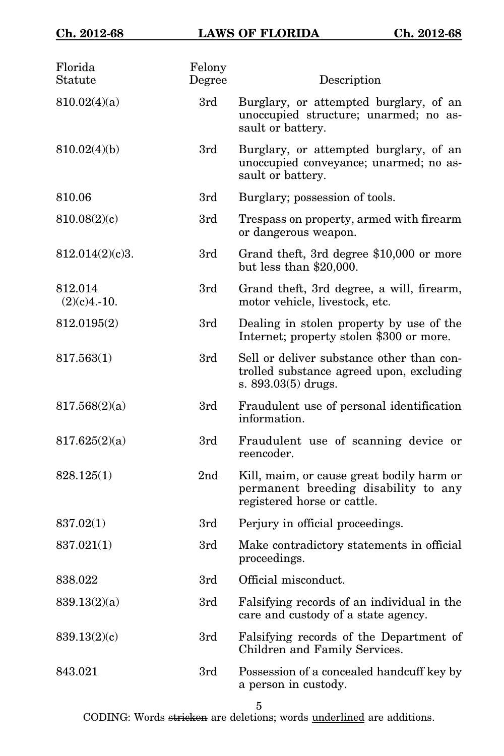| Florida<br>Statute        | Felony<br>Degree | Description                                                                                                      |
|---------------------------|------------------|------------------------------------------------------------------------------------------------------------------|
| 810.02(4)(a)              | 3rd              | Burglary, or attempted burglary, of an<br>unoccupied structure; unarmed; no as-<br>sault or battery.             |
| 810.02(4)(b)              | 3rd              | Burglary, or attempted burglary, of an<br>unoccupied conveyance; unarmed; no as-<br>sault or battery.            |
| 810.06                    | 3rd              | Burglary; possession of tools.                                                                                   |
| 810.08(2)(c)              | 3rd              | Trespass on property, armed with firearm<br>or dangerous weapon.                                                 |
| 812.014(2)(c)3.           | 3rd              | Grand theft, 3rd degree \$10,000 or more<br>but less than $$20,000$ .                                            |
| 812.014<br>$(2)(c)4.-10.$ | 3rd              | Grand theft, 3rd degree, a will, firearm,<br>motor vehicle, livestock, etc.                                      |
| 812.0195(2)               | 3rd              | Dealing in stolen property by use of the<br>Internet; property stolen \$300 or more.                             |
| 817.563(1)                | 3rd              | Sell or deliver substance other than con-<br>trolled substance agreed upon, excluding<br>s. $893.03(5)$ drugs.   |
| 817.568(2)(a)             | 3rd              | Fraudulent use of personal identification<br>information.                                                        |
| 817.625(2)(a)             | 3rd              | Fraudulent use of scanning device or<br>reencoder.                                                               |
| 828.125(1)                | 2 <sub>nd</sub>  | Kill, maim, or cause great bodily harm or<br>permanent breeding disability to any<br>registered horse or cattle. |
| 837.02(1)                 | 3rd              | Perjury in official proceedings.                                                                                 |
| 837.021(1)                | 3rd              | Make contradictory statements in official<br>proceedings.                                                        |
| 838.022                   | 3rd              | Official misconduct.                                                                                             |
| 839.13(2)(a)              | 3rd              | Falsifying records of an individual in the<br>care and custody of a state agency.                                |
| 839.13(2)(c)              | 3rd              | Falsifying records of the Department of<br>Children and Family Services.                                         |
| 843.021                   | 3rd              | Possession of a concealed handcuff key by<br>a person in custody.                                                |
|                           |                  |                                                                                                                  |